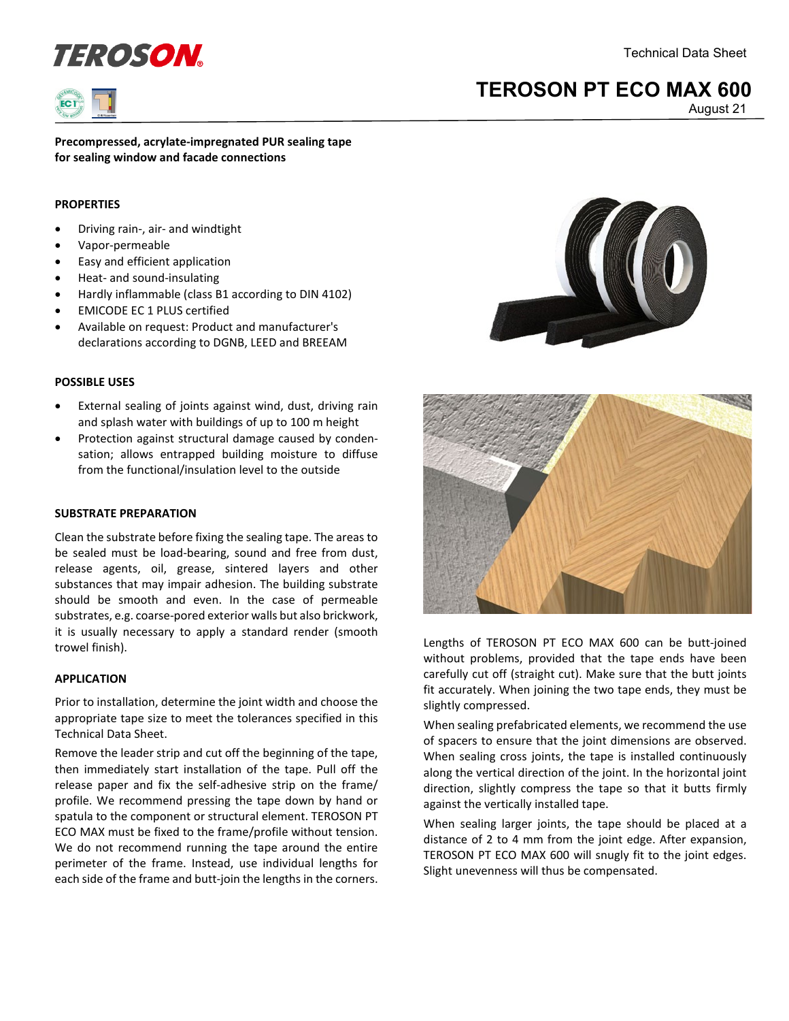

# **TEROSON PT ECO MAX 600**

August 21

**Precompressed, acrylate-impregnated PUR sealing tape for sealing window and facade connections**

### **PROPERTIES**

- Driving rain-, air- and windtight
- Vapor-permeable
- Easy and efficient application
- Heat- and sound-insulating
- Hardly inflammable (class B1 according to DIN 4102)
- EMICODE EC 1 PLUS certified
- Available on request: Product and manufacturer's declarations according to DGNB, LEED and BREEAM

#### **POSSIBLE USES**

- External sealing of joints against wind, dust, driving rain and splash water with buildings of up to 100 m height
- Protection against structural damage caused by condensation; allows entrapped building moisture to diffuse from the functional/insulation level to the outside

#### **SUBSTRATE PREPARATION**

Clean the substrate before fixing the sealing tape. The areas to be sealed must be load-bearing, sound and free from dust, release agents, oil, grease, sintered layers and other substances that may impair adhesion. The building substrate should be smooth and even. In the case of permeable substrates, e.g. coarse-pored exterior walls but also brickwork, it is usually necessary to apply a standard render (smooth trowel finish).

## **APPLICATION**

Prior to installation, determine the joint width and choose the appropriate tape size to meet the tolerances specified in this Technical Data Sheet.

Remove the leader strip and cut off the beginning of the tape, then immediately start installation of the tape. Pull off the release paper and fix the self-adhesive strip on the frame/ profile. We recommend pressing the tape down by hand or spatula to the component or structural element. TEROSON PT ECO MAX must be fixed to the frame/profile without tension. We do not recommend running the tape around the entire perimeter of the frame. Instead, use individual lengths for each side of the frame and butt-join the lengths in the corners.





Lengths of TEROSON PT ECO MAX 600 can be butt-joined without problems, provided that the tape ends have been carefully cut off (straight cut). Make sure that the butt joints fit accurately. When joining the two tape ends, they must be slightly compressed.

When sealing prefabricated elements, we recommend the use of spacers to ensure that the joint dimensions are observed. When sealing cross joints, the tape is installed continuously along the vertical direction of the joint. In the horizontal joint direction, slightly compress the tape so that it butts firmly against the vertically installed tape.

When sealing larger joints, the tape should be placed at a distance of 2 to 4 mm from the joint edge. After expansion, TEROSON PT ECO MAX 600 will snugly fit to the joint edges. Slight unevenness will thus be compensated.